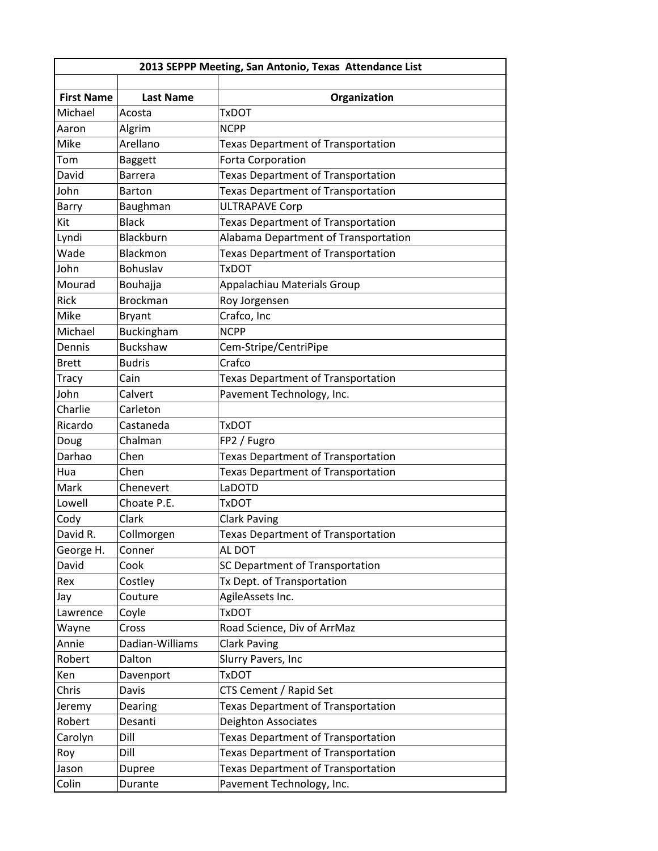| 2013 SEPPP Meeting, San Antonio, Texas Attendance List |                    |                                           |  |  |
|--------------------------------------------------------|--------------------|-------------------------------------------|--|--|
|                                                        |                    |                                           |  |  |
| <b>First Name</b>                                      | <b>Last Name</b>   | Organization                              |  |  |
| Michael                                                | Acosta             | <b>TxDOT</b>                              |  |  |
| Aaron<br>Mike                                          | Algrim<br>Arellano | <b>NCPP</b>                               |  |  |
|                                                        |                    | Texas Department of Transportation        |  |  |
| Tom                                                    | <b>Baggett</b>     | Forta Corporation                         |  |  |
| David                                                  | Barrera            | <b>Texas Department of Transportation</b> |  |  |
| John                                                   | <b>Barton</b>      | <b>Texas Department of Transportation</b> |  |  |
| Barry                                                  | Baughman           | <b>ULTRAPAVE Corp</b>                     |  |  |
| Kit                                                    | <b>Black</b>       | Texas Department of Transportation        |  |  |
| Lyndi                                                  | Blackburn          | Alabama Department of Transportation      |  |  |
| Wade                                                   | Blackmon           | <b>Texas Department of Transportation</b> |  |  |
| John                                                   | Bohuslav           | <b>TxDOT</b>                              |  |  |
| Mourad                                                 | <b>Bouhajja</b>    | Appalachiau Materials Group               |  |  |
| Rick                                                   | <b>Brockman</b>    | Roy Jorgensen                             |  |  |
| Mike                                                   | <b>Bryant</b>      | Crafco, Inc                               |  |  |
| Michael                                                | Buckingham         | <b>NCPP</b>                               |  |  |
| Dennis                                                 | <b>Buckshaw</b>    | Cem-Stripe/CentriPipe                     |  |  |
| <b>Brett</b>                                           | <b>Budris</b>      | Crafco                                    |  |  |
| <b>Tracy</b>                                           | Cain               | <b>Texas Department of Transportation</b> |  |  |
| John                                                   | Calvert            | Pavement Technology, Inc.                 |  |  |
| Charlie                                                | Carleton           |                                           |  |  |
| Ricardo                                                | Castaneda          | <b>TxDOT</b>                              |  |  |
| Doug                                                   | Chalman            | FP2 / Fugro                               |  |  |
| Darhao                                                 | Chen               | Texas Department of Transportation        |  |  |
| Hua                                                    | Chen               | <b>Texas Department of Transportation</b> |  |  |
| Mark                                                   | Chenevert          | LaDOTD                                    |  |  |
| Lowell                                                 | Choate P.E.        | <b>TxDOT</b>                              |  |  |
| Cody                                                   | Clark              | <b>Clark Paving</b>                       |  |  |
| David R.                                               | Collmorgen         | <b>Texas Department of Transportation</b> |  |  |
| George H.                                              | Conner             | AL DOT                                    |  |  |
| David                                                  | Cook               | SC Department of Transportation           |  |  |
| Rex                                                    | Costley            | Tx Dept. of Transportation                |  |  |
| Jay                                                    | Couture            | AgileAssets Inc.                          |  |  |
| Lawrence                                               | Coyle              | <b>TxDOT</b>                              |  |  |
| Wayne                                                  | Cross              | Road Science, Div of ArrMaz               |  |  |
| Annie                                                  | Dadian-Williams    | <b>Clark Paving</b>                       |  |  |
| Robert                                                 | Dalton             | Slurry Pavers, Inc                        |  |  |
| Ken                                                    | Davenport          | <b>TxDOT</b>                              |  |  |
| Chris                                                  | Davis              | CTS Cement / Rapid Set                    |  |  |
|                                                        |                    | <b>Texas Department of Transportation</b> |  |  |
| Jeremy<br>Robert                                       | Dearing<br>Desanti | Deighton Associates                       |  |  |
|                                                        |                    |                                           |  |  |
| Carolyn                                                | Dill<br>Dill       | Texas Department of Transportation        |  |  |
| Roy                                                    |                    | <b>Texas Department of Transportation</b> |  |  |
| Jason                                                  | Dupree             | Texas Department of Transportation        |  |  |
| Colin                                                  | Durante            | Pavement Technology, Inc.                 |  |  |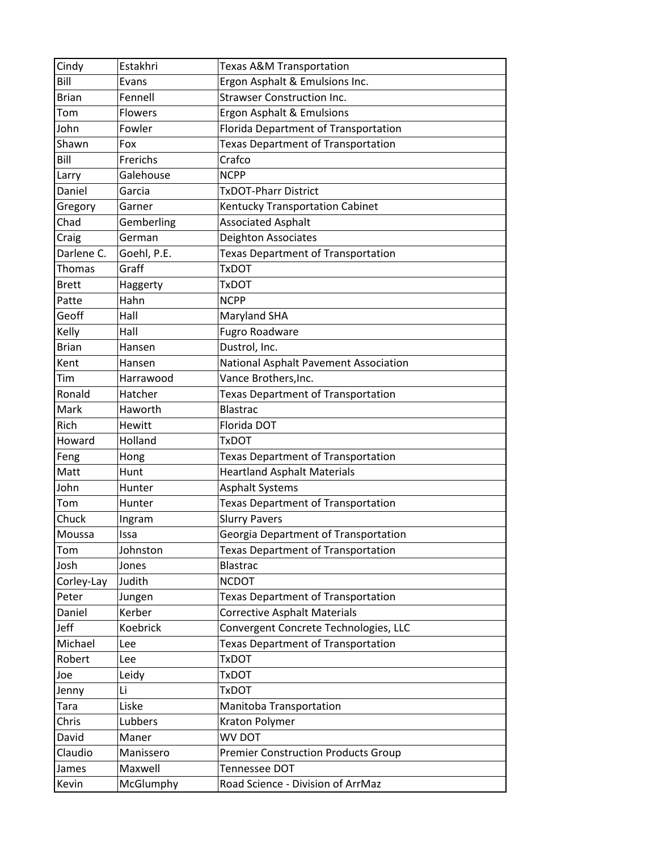| Cindy        | Estakhri       | Texas A&M Transportation                   |
|--------------|----------------|--------------------------------------------|
| Bill         | Evans          | Ergon Asphalt & Emulsions Inc.             |
| <b>Brian</b> | Fennell        | <b>Strawser Construction Inc.</b>          |
| Tom          | <b>Flowers</b> | Ergon Asphalt & Emulsions                  |
| John         | Fowler         | Florida Department of Transportation       |
| Shawn        | Fox            | <b>Texas Department of Transportation</b>  |
| Bill         | Frerichs       | Crafco                                     |
| Larry        | Galehouse      | <b>NCPP</b>                                |
| Daniel       | Garcia         | <b>TxDOT-Pharr District</b>                |
| Gregory      | Garner         | Kentucky Transportation Cabinet            |
| Chad         | Gemberling     | <b>Associated Asphalt</b>                  |
| Craig        | German         | <b>Deighton Associates</b>                 |
| Darlene C.   | Goehl, P.E.    | Texas Department of Transportation         |
| Thomas       | Graff          | <b>TxDOT</b>                               |
| <b>Brett</b> | Haggerty       | TxDOT                                      |
| Patte        | Hahn           | <b>NCPP</b>                                |
| Geoff        | Hall           | <b>Maryland SHA</b>                        |
| Kelly        | Hall           | <b>Fugro Roadware</b>                      |
| <b>Brian</b> | Hansen         | Dustrol, Inc.                              |
| Kent         | Hansen         | National Asphalt Pavement Association      |
| Tim          | Harrawood      | Vance Brothers, Inc.                       |
| Ronald       | Hatcher        | <b>Texas Department of Transportation</b>  |
| Mark         | Haworth        | <b>Blastrac</b>                            |
| Rich         | Hewitt         | Florida DOT                                |
| Howard       | Holland        | <b>TxDOT</b>                               |
| Feng         | Hong           | Texas Department of Transportation         |
| Matt         | Hunt           | <b>Heartland Asphalt Materials</b>         |
| John         | Hunter         | <b>Asphalt Systems</b>                     |
| Tom          | Hunter         | <b>Texas Department of Transportation</b>  |
| Chuck        | Ingram         | <b>Slurry Pavers</b>                       |
| Moussa       | Issa           | Georgia Department of Transportation       |
| Tom          | Johnston       | Texas Department of Transportation         |
| Josh         | Jones          | <b>Blastrac</b>                            |
| Corley-Lay   | Judith         | <b>NCDOT</b>                               |
| Peter        | Jungen         | Texas Department of Transportation         |
| Daniel       | Kerber         | <b>Corrective Asphalt Materials</b>        |
| Jeff         | Koebrick       | Convergent Concrete Technologies, LLC      |
| Michael      | Lee            | <b>Texas Department of Transportation</b>  |
| Robert       | Lee            | <b>TxDOT</b>                               |
| Joe          | Leidy          | <b>TxDOT</b>                               |
| Jenny        | Li             | <b>TxDOT</b>                               |
| Tara         | Liske          | Manitoba Transportation                    |
| Chris        | Lubbers        | Kraton Polymer                             |
| David        | Maner          | WV DOT                                     |
| Claudio      | Manissero      | <b>Premier Construction Products Group</b> |
| James        | Maxwell        | Tennessee DOT                              |
| Kevin        | McGlumphy      | Road Science - Division of ArrMaz          |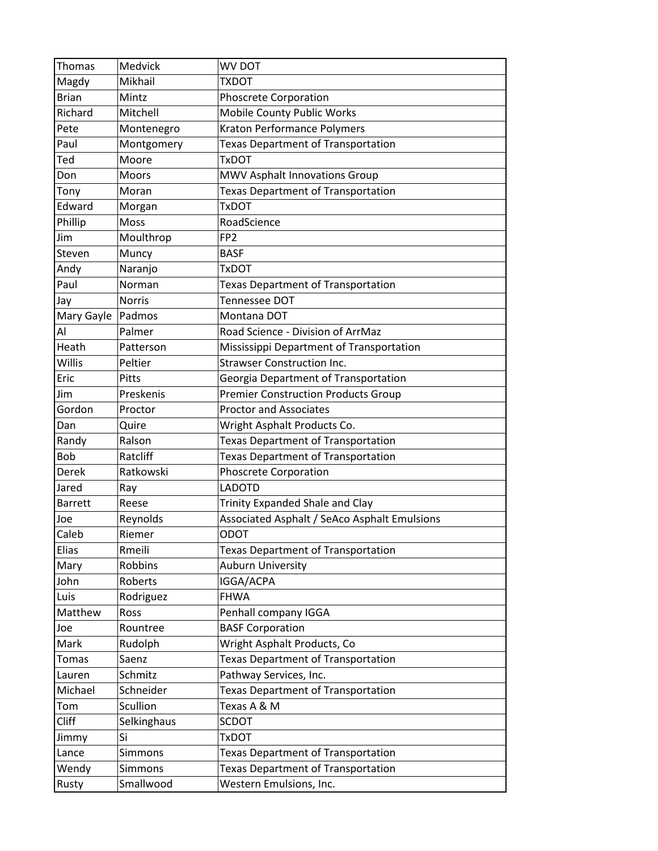| Thomas         | Medvick        | WV DOT                                       |
|----------------|----------------|----------------------------------------------|
| Magdy          | Mikhail        | <b>TXDOT</b>                                 |
| <b>Brian</b>   | Mintz          | Phoscrete Corporation                        |
| Richard        | Mitchell       | Mobile County Public Works                   |
| Pete           | Montenegro     | Kraton Performance Polymers                  |
| Paul           | Montgomery     | <b>Texas Department of Transportation</b>    |
| Ted            | Moore          | <b>TxDOT</b>                                 |
| Don            | <b>Moors</b>   | MWV Asphalt Innovations Group                |
| Tony           | Moran          | <b>Texas Department of Transportation</b>    |
| Edward         | Morgan         | <b>TxDOT</b>                                 |
| Phillip        | Moss           | RoadScience                                  |
| Jim            | Moulthrop      | FP <sub>2</sub>                              |
| Steven         | Muncy          | <b>BASF</b>                                  |
| Andy           | Naranjo        | <b>TxDOT</b>                                 |
| Paul           | Norman         | <b>Texas Department of Transportation</b>    |
| Jay            | <b>Norris</b>  | Tennessee DOT                                |
| Mary Gayle     | Padmos         | Montana DOT                                  |
| Al             | Palmer         | Road Science - Division of ArrMaz            |
| Heath          | Patterson      | Mississippi Department of Transportation     |
| Willis         | Peltier        | <b>Strawser Construction Inc.</b>            |
| Eric           | Pitts          | Georgia Department of Transportation         |
| Jim            | Preskenis      | <b>Premier Construction Products Group</b>   |
| Gordon         | Proctor        | <b>Proctor and Associates</b>                |
| Dan            | Quire          | Wright Asphalt Products Co.                  |
| Randy          | Ralson         | <b>Texas Department of Transportation</b>    |
| <b>Bob</b>     | Ratcliff       | <b>Texas Department of Transportation</b>    |
| Derek          | Ratkowski      | Phoscrete Corporation                        |
| Jared          | Ray            | <b>LADOTD</b>                                |
| <b>Barrett</b> | Reese          | Trinity Expanded Shale and Clay              |
| Joe            | Reynolds       | Associated Asphalt / SeAco Asphalt Emulsions |
| Caleb          | Riemer         | <b>ODOT</b>                                  |
| Elias          | Rmeili         | <b>Texas Department of Transportation</b>    |
| Mary           | <b>Robbins</b> | Auburn University                            |
| John           | Roberts        | IGGA/ACPA                                    |
| Luis           | Rodriguez      | <b>FHWA</b>                                  |
| Matthew        | Ross           | Penhall company IGGA                         |
| Joe            | Rountree       | <b>BASF Corporation</b>                      |
| Mark           | Rudolph        | Wright Asphalt Products, Co                  |
| <b>Tomas</b>   | Saenz          | <b>Texas Department of Transportation</b>    |
| Lauren         | Schmitz        | Pathway Services, Inc.                       |
| Michael        | Schneider      | <b>Texas Department of Transportation</b>    |
| Tom            | Scullion       | Texas A & M                                  |
| <b>Cliff</b>   | Selkinghaus    | <b>SCDOT</b>                                 |
| Jimmy          | Si             | <b>TxDOT</b>                                 |
| Lance          | <b>Simmons</b> | <b>Texas Department of Transportation</b>    |
| Wendy          | <b>Simmons</b> | <b>Texas Department of Transportation</b>    |
| Rusty          | Smallwood      | Western Emulsions, Inc.                      |